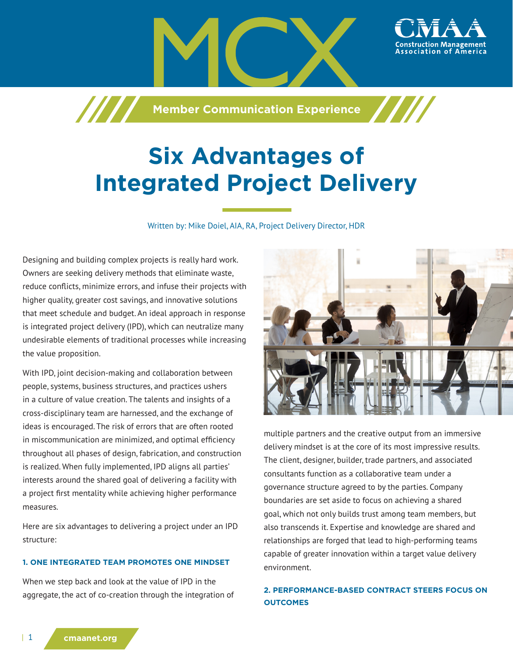

# **Six Advantages of Integrated Project Delivery**

Written by: Mike Doiel, AIA, RA, Project Delivery Director, HDR

Designing and building complex projects is really hard work. Owners are seeking delivery methods that eliminate waste, reduce conflicts, minimize errors, and infuse their projects with higher quality, greater cost savings, and innovative solutions that meet schedule and budget. An ideal approach in response is integrated project delivery (IPD), which can neutralize many undesirable elements of traditional processes while increasing the value proposition.

With IPD, joint decision-making and collaboration between people, systems, business structures, and practices ushers in a culture of value creation. The talents and insights of a cross-disciplinary team are harnessed, and the exchange of ideas is encouraged. The risk of errors that are often rooted in miscommunication are minimized, and optimal efficiency throughout all phases of design, fabrication, and construction is realized. When fully implemented, IPD aligns all parties' interests around the shared goal of delivering a facility with a project first mentality while achieving higher performance measures.

Here are six advantages to delivering a project under an IPD structure:

## **1. ONE INTEGRATED TEAM PROMOTES ONE MINDSET**

When we step back and look at the value of IPD in the aggregate, the act of co-creation through the integration of



multiple partners and the creative output from an immersive delivery mindset is at the core of its most impressive results. The client, designer, builder, trade partners, and associated consultants function as a collaborative team under a governance structure agreed to by the parties. Company boundaries are set aside to focus on achieving a shared goal, which not only builds trust among team members, but also transcends it. Expertise and knowledge are shared and relationships are forged that lead to high-performing teams capable of greater innovation within a target value delivery environment.

# **2. PERFORMANCE-BASED CONTRACT STEERS FOCUS ON OUTCOMES**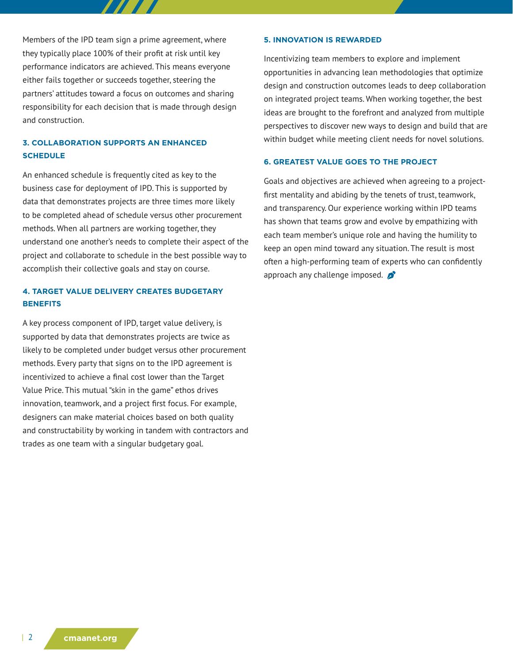Members of the IPD team sign a prime agreement, where they typically place 100% of their profit at risk until key performance indicators are achieved. This means everyone either fails together or succeeds together, steering the partners' attitudes toward a focus on outcomes and sharing responsibility for each decision that is made through design and construction.

# **3. COLLABORATION SUPPORTS AN ENHANCED SCHEDULE**

An enhanced schedule is frequently cited as key to the business case for deployment of IPD. This is supported by data that demonstrates projects are three times more likely to be completed ahead of schedule versus other procurement methods. When all partners are working together, they understand one another's needs to complete their aspect of the project and collaborate to schedule in the best possible way to accomplish their collective goals and stay on course.

### **4. TARGET VALUE DELIVERY CREATES BUDGETARY BENEFITS**

A key process component of IPD, target value delivery, is supported by data that demonstrates projects are twice as likely to be completed under budget versus other procurement methods. Every party that signs on to the IPD agreement is incentivized to achieve a final cost lower than the Target Value Price. This mutual "skin in the game" ethos drives innovation, teamwork, and a project first focus. For example, designers can make material choices based on both quality and constructability by working in tandem with contractors and trades as one team with a singular budgetary goal.

#### **5. INNOVATION IS REWARDED**

Incentivizing team members to explore and implement opportunities in advancing lean methodologies that optimize design and construction outcomes leads to deep collaboration on integrated project teams. When working together, the best ideas are brought to the forefront and analyzed from multiple perspectives to discover new ways to design and build that are within budget while meeting client needs for novel solutions.

#### **6. GREATEST VALUE GOES TO THE PROJECT**

Goals and objectives are achieved when agreeing to a projectfirst mentality and abiding by the tenets of trust, teamwork, and transparency. Our experience working within IPD teams has shown that teams grow and evolve by empathizing with each team member's unique role and having the humility to keep an open mind toward any situation. The result is most often a high-performing team of experts who can confidently approach any challenge imposed.